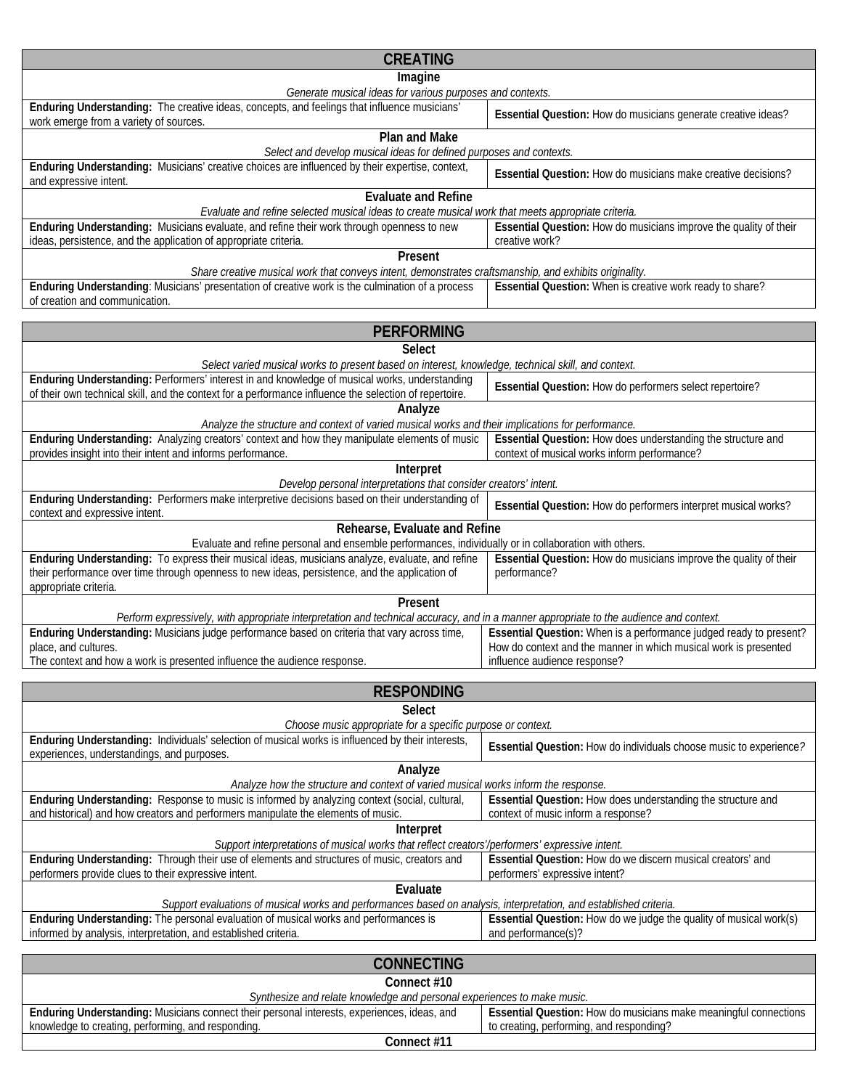| <b>CREATING</b>                                                                                                                                                                                                                        |                                                                                                     |  |
|----------------------------------------------------------------------------------------------------------------------------------------------------------------------------------------------------------------------------------------|-----------------------------------------------------------------------------------------------------|--|
| Imagine                                                                                                                                                                                                                                |                                                                                                     |  |
| Generate musical ideas for various purposes and contexts.<br>Enduring Understanding: The creative ideas, concepts, and feelings that influence musicians'                                                                              |                                                                                                     |  |
| work emerge from a variety of sources.                                                                                                                                                                                                 | Essential Question: How do musicians generate creative ideas?                                       |  |
| <b>Plan and Make</b><br>Select and develop musical ideas for defined purposes and contexts.                                                                                                                                            |                                                                                                     |  |
| Enduring Understanding: Musicians' creative choices are influenced by their expertise, context,<br>and expressive intent.                                                                                                              | Essential Question: How do musicians make creative decisions?                                       |  |
| <b>Evaluate and Refine</b><br>Evaluate and refine selected musical ideas to create musical work that meets appropriate criteria.                                                                                                       |                                                                                                     |  |
| Enduring Understanding: Musicians evaluate, and refine their work through openness to new<br>ideas, persistence, and the application of appropriate criteria.                                                                          | Essential Question: How do musicians improve the quality of their<br>creative work?                 |  |
| Present<br>Share creative musical work that conveys intent, demonstrates craftsmanship, and exhibits originality.                                                                                                                      |                                                                                                     |  |
| Enduring Understanding: Musicians' presentation of creative work is the culmination of a process<br>of creation and communication.                                                                                                     | Essential Question: When is creative work ready to share?                                           |  |
| <b>PERFORMING</b>                                                                                                                                                                                                                      |                                                                                                     |  |
| <b>Select</b>                                                                                                                                                                                                                          |                                                                                                     |  |
| Select varied musical works to present based on interest, knowledge, technical skill, and context.                                                                                                                                     |                                                                                                     |  |
| Enduring Understanding: Performers' interest in and knowledge of musical works, understanding<br>of their own technical skill, and the context for a performance influence the selection of repertoire.                                | Essential Question: How do performers select repertoire?                                            |  |
| Analyze<br>Analyze the structure and context of varied musical works and their implications for performance.                                                                                                                           |                                                                                                     |  |
| Enduring Understanding: Analyzing creators' context and how they manipulate elements of music                                                                                                                                          | Essential Question: How does understanding the structure and                                        |  |
| provides insight into their intent and informs performance.                                                                                                                                                                            | context of musical works inform performance?                                                        |  |
| Interpret<br>Develop personal interpretations that consider creators' intent.                                                                                                                                                          |                                                                                                     |  |
| Enduring Understanding: Performers make interpretive decisions based on their understanding of                                                                                                                                         |                                                                                                     |  |
| context and expressive intent.                                                                                                                                                                                                         | Essential Question: How do performers interpret musical works?                                      |  |
| Rehearse, Evaluate and Refine<br>Evaluate and refine personal and ensemble performances, individually or in collaboration with others.                                                                                                 |                                                                                                     |  |
| Enduring Understanding: To express their musical ideas, musicians analyze, evaluate, and refine<br>their performance over time through openness to new ideas, persistence, and the application of<br>appropriate criteria.             | Essential Question: How do musicians improve the quality of their<br>performance?                   |  |
| Present                                                                                                                                                                                                                                |                                                                                                     |  |
| Perform expressively, with appropriate interpretation and technical accuracy, and in a manner appropriate to the audience and context.<br>Enduring Understanding: Musicians judge performance based on criteria that vary across time, | Essential Question: When is a performance judged ready to present?                                  |  |
| place, and cultures.<br>The context and how a work is presented influence the audience response.                                                                                                                                       | How do context and the manner in which musical work is presented<br>influence audience response?    |  |
|                                                                                                                                                                                                                                        |                                                                                                     |  |
| <b>RESPONDING</b>                                                                                                                                                                                                                      |                                                                                                     |  |
| <b>Select</b><br>Choose music appropriate for a specific purpose or context.                                                                                                                                                           |                                                                                                     |  |
| Enduring Understanding: Individuals' selection of musical works is influenced by their interests,<br>experiences, understandings, and purposes.                                                                                        | Essential Question: How do individuals choose music to experience?                                  |  |
| Analyze                                                                                                                                                                                                                                |                                                                                                     |  |
| Analyze how the structure and context of varied musical works inform the response.                                                                                                                                                     |                                                                                                     |  |
| Enduring Understanding: Response to music is informed by analyzing context (social, cultural,<br>and historical) and how creators and performers manipulate the elements of music.                                                     | Essential Question: How does understanding the structure and<br>context of music inform a response? |  |
| Interpret<br>Support interpretations of musical works that reflect creators'/performers' expressive intent.                                                                                                                            |                                                                                                     |  |
| Enduring Understanding: Through their use of elements and structures of music, creators and<br>performers provide clues to their expressive intent.                                                                                    | Essential Question: How do we discern musical creators' and<br>performers' expressive intent?       |  |
| Evaluate                                                                                                                                                                                                                               |                                                                                                     |  |
| Support evaluations of musical works and performances based on analysis, interpretation, and established criteria.<br>Enduring Understanding: The personal evaluation of musical works and performances is                             | Essential Question: How do we judge the quality of musical work(s)                                  |  |
| informed by analysis, interpretation, and established criteria.                                                                                                                                                                        | and performance(s)?                                                                                 |  |
| <b>CONNECTING</b>                                                                                                                                                                                                                      |                                                                                                     |  |
| Connect #10<br>Synthesize and relate knowledge and personal experiences to make music.                                                                                                                                                 |                                                                                                     |  |
| Enduring Understanding: Musicians connect their personal interests, experiences, ideas, and                                                                                                                                            | Essential Question: How do musicians make meaningful connections                                    |  |

**Connect #11** 

knowledge to creating, performing, and responding.

to creating, performing, and responding?